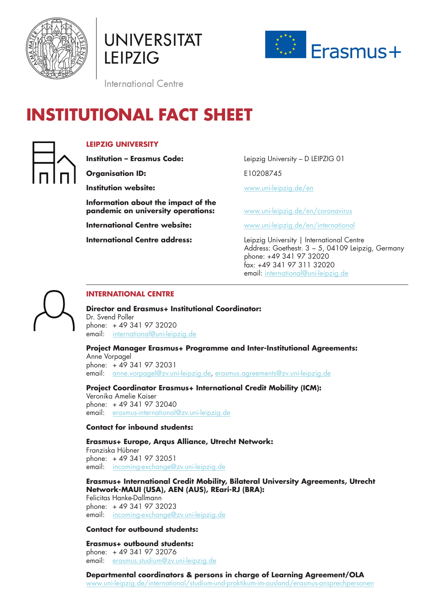

**UNIVERSITÄT LEIPZIG** 



International Centre

# **INSTITUTIONAL FACT SHEET**



# **LEIPZIG UNIVERSITY**

**Organisation ID:** E10208745

**Information about the impact of the pandemic on university operations:** [www.uni-leipzig.de/en/coronavirus](http://www.uni-leipzig.de/en/coronavirus)

**Institution – Erasmus Code:** Leipzig University – D LEIPZIG 01

**Institution website: [www.uni-leipzig.de/](https://www.uni-leipzig.de/en/)en** 

**International Centre website:** [www.uni-leipzig.de/en/international](https://www.uni-leipzig.de/en/international/)

**International Centre address:** Leipzig University | International Centre Address: Goethestr. 3 − 5, 04109 Leipzig, Germany phone: +49 341 97 32020 fax: +49 341 97 311 32020 email: [international@uni-leipzig.de](mailto:international%40uni-leipzig.de?subject=)



# **INTERNATIONAL CENTRE**

# **Director and Erasmus+ Institutional Coordinator:**

Dr. Svend Poller phone: + 49 341 97 32020 email: [international@uni-leipzig.de](mailto:international%40uni-leipzig.de?subject=)

**Project Manager Erasmus+ Programme and Inter-Institutional Agreements:**

Anne Vorpagel phone: + 49 341 97 32031 email: [anne.vorpagel@zv.uni-leipzig.de,](mailto:anne.vorpagel%40zv.uni-leipzig.de?subject=) [erasmus.agreements@zv.uni-leipzig.de](mailto:erasmus.agreements%40zv.uni-leipzig.de?subject=)

**Project Coordinator Erasmus+ International Credit Mobility (ICM):**

Veronika Amelie Kaiser phone: + 49 341 97 32040 email: [erasmus-international@zv.uni-leipzig.de](mailto:erasmus-international%40zv.uni-leipzig.de?subject=)

# **Contact for inbound students:**

**Erasmus+ Europe, Arqus Alliance, Utrecht Network:**

Franziska Hübner phone: + 49 341 97 32051 email: [incoming-exchange@zv.uni-leipzig.de](mailto:incoming-exchange%40zv.uni-leipzig.de?subject=)

# **Erasmus+ International Credit Mobility, Bilateral University Agreements, Utrecht Network-MAUI (USA), AEN (AUS), REari-RJ (BRA):**

Felicitas Hanke-Dallmann phone: + 49 341 97 32023 email: [incoming-exchange@zv.uni-leipzig.de](mailto:incoming-exchange%40zv.uni-leipzig.de?subject=)

# **Contact for outbound students:**

# **Erasmus+ outbound students:** phone: + 49 341 97 32076

email: [erasmus.studium@zv.uni-leipzig.de](mailto: erasmus.studium@zv.uni-leipzig.de)

**Departmental coordinators & persons in charge of Learning Agreement/OLA** [www.uni-leipzig.de/international/studium-und-praktikum-im-ausland/erasmus-ansprechpersonen](https://www.uni-leipzig.de/en/international/study-and-internships-abroad/erasmus-contacts/)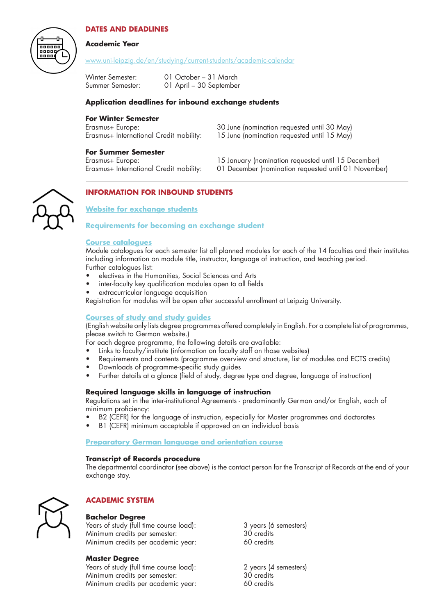

# **DATES AND DEADLINES**

## **Academic Year**

[www.uni-leipzig.de/en/studying/current-students/academic-calendar](http://www.uni-leipzig.de/en/studying/current-students/academic-calendar)

| Winter Semester: | 01 October – 31 March   |
|------------------|-------------------------|
| Summer Semester: | 01 April - 30 September |

## **Application deadlines for inbound exchange students**

#### **For Winter Semester**

| Erasmus+ Europe:                                 | 30 June (nomination requested until 30 May)    |
|--------------------------------------------------|------------------------------------------------|
| Erasmus+ International Credit mobility:          | 15 June (nomination requested until 15 May)    |
| <b>For Summer Semester</b><br>Fracmus L. Furopot | 15 Ignuary Inomination requested until 15 Dece |

- Erasmus+ Europe: 15 January (nomination requested until 15 December)
- Erasmus+ International Credit mobility: 01 December (nomination requested until 01 November)



# **INFORMATION FOR INBOUND STUDENTS**

**[Website for exchange students](http://www.uni-leipzig.de/+incoming-exchange/)**

## **[Requirements for becoming an exchange student](https://www.uni-leipzig.de/en/international/exchange-students-at-leipzig-university/before-you-arrive/#c14913)**

#### **[Course catalogues](https://almaweb.uni-leipzig.de/vvz)**

Module catalogues for each semester list all planned modules for each of the 14 faculties and their institutes including information on module title, instructor, language of instruction, and teaching period. Further catalogues list:

- electives in the Humanities, Social Sciences and Arts
- inter-faculty key qualification modules open to all fields
- extracurricular language acquisition

Registration for modules will be open after successful enrollment at Leipzig University.

## **[Courses of study and study guides](https://www.uni-leipzig.de/en/studying/prospective-students/courses-of-study/)**

(English website only lists degree programmes offered completely in English. For a complete list of programmes, please switch to German website.)

For each degree programme, the following details are available:

- Links to faculty/institute (information on faculty staff on those websites)
- Requirements and contents (programme overview and structure, list of modules and ECTS credits)
- Downloads of programme-specific study guides
- Further details at a glance (field of study, degree type and degree, language of instruction)

## **Required language skills in language of instruction**

Regulations set in the inter-institutional Agreements - predominantly German and/or English, each of minimum proficiency:

- B2 (CEFR) for the language of instruction, especially for Master programmes and doctorates
- B1 (CEFR) minimum acceptable if approved on an individual basis

#### **[Preparatory German language and orientation course](https://www.uni-leipzig.de/en/international/exchange-students-at-leipzig-university/before-you-arrive/#collapse14950)**

#### **Transcript of Records procedure**

The departmental coordinator (see above) is the contact person for the Transcript of Records at the end of your exchange stay.



# **ACADEMIC SYSTEM**

**Bachelor Degree** Years of study (full time course load): 3 years (6 semesters) Minimum credits per semester: 30 credits Minimum credits per academic year:

## **Master Degree**

Years of study (full time course load): 2 years (4 semesters) Minimum credits per semester: 30 credits Minimum credits per academic year: